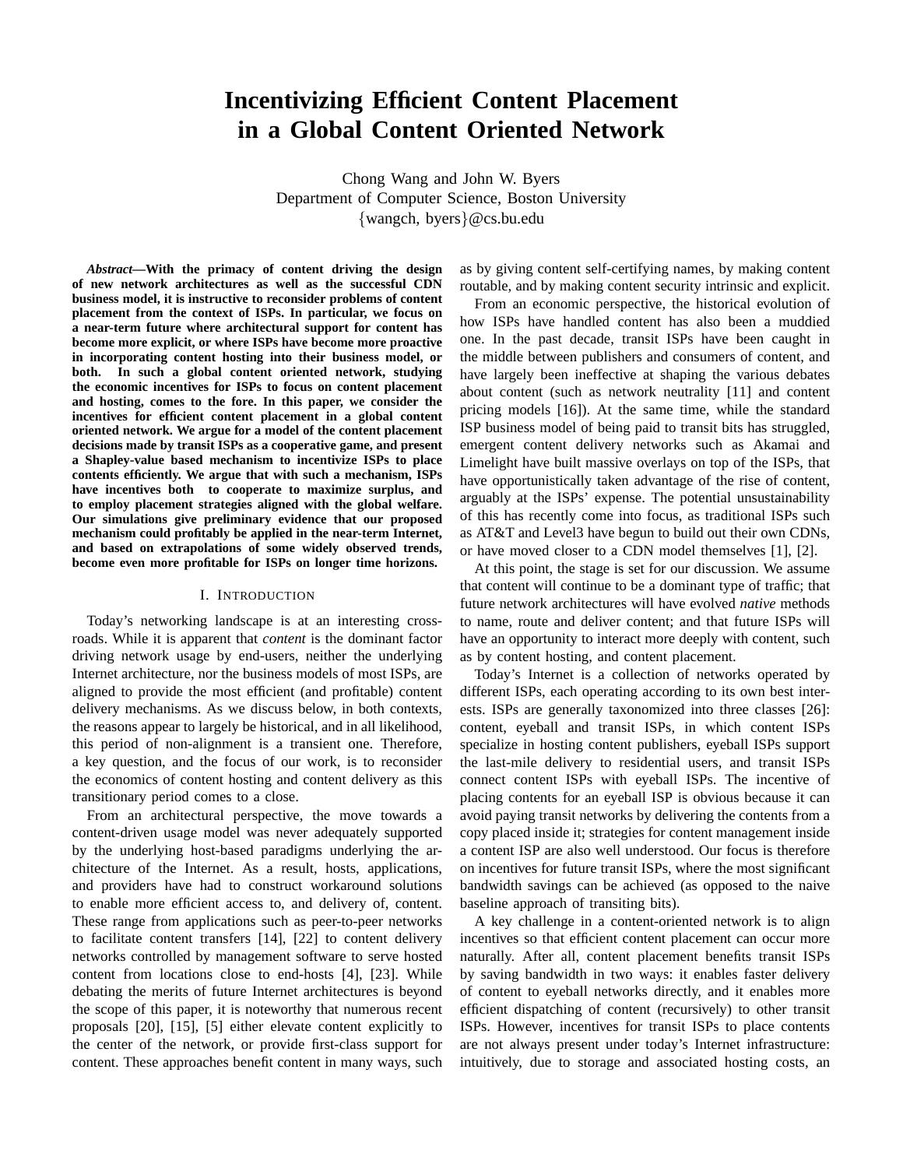# **Incentivizing Efficient Content Placement in a Global Content Oriented Network**

Chong Wang and John W. Byers Department of Computer Science, Boston University {wangch, byers}@cs.bu.edu

*Abstract***—With the primacy of content driving the design of new network architectures as well as the successful CDN business model, it is instructive to reconsider problems of content placement from the context of ISPs. In particular, we focus on a near-term future where architectural support for content has become more explicit, or where ISPs have become more proactive in incorporating content hosting into their business model, or both. In such a global content oriented network, studying the economic incentives for ISPs to focus on content placement and hosting, comes to the fore. In this paper, we consider the incentives for efficient content placement in a global content oriented network. We argue for a model of the content placement decisions made by transit ISPs as a cooperative game, and present a Shapley-value based mechanism to incentivize ISPs to place contents efficiently. We argue that with such a mechanism, ISPs have incentives both to cooperate to maximize surplus, and to employ placement strategies aligned with the global welfare. Our simulations give preliminary evidence that our proposed mechanism could profitably be applied in the near-term Internet, and based on extrapolations of some widely observed trends, become even more profitable for ISPs on longer time horizons.**

#### I. INTRODUCTION

Today's networking landscape is at an interesting crossroads. While it is apparent that *content* is the dominant factor driving network usage by end-users, neither the underlying Internet architecture, nor the business models of most ISPs, are aligned to provide the most efficient (and profitable) content delivery mechanisms. As we discuss below, in both contexts, the reasons appear to largely be historical, and in all likelihood, this period of non-alignment is a transient one. Therefore, a key question, and the focus of our work, is to reconsider the economics of content hosting and content delivery as this transitionary period comes to a close.

From an architectural perspective, the move towards a content-driven usage model was never adequately supported by the underlying host-based paradigms underlying the architecture of the Internet. As a result, hosts, applications, and providers have had to construct workaround solutions to enable more efficient access to, and delivery of, content. These range from applications such as peer-to-peer networks to facilitate content transfers [14], [22] to content delivery networks controlled by management software to serve hosted content from locations close to end-hosts [4], [23]. While debating the merits of future Internet architectures is beyond the scope of this paper, it is noteworthy that numerous recent proposals [20], [15], [5] either elevate content explicitly to the center of the network, or provide first-class support for content. These approaches benefit content in many ways, such as by giving content self-certifying names, by making content routable, and by making content security intrinsic and explicit.

From an economic perspective, the historical evolution of how ISPs have handled content has also been a muddied one. In the past decade, transit ISPs have been caught in the middle between publishers and consumers of content, and have largely been ineffective at shaping the various debates about content (such as network neutrality [11] and content pricing models [16]). At the same time, while the standard ISP business model of being paid to transit bits has struggled, emergent content delivery networks such as Akamai and Limelight have built massive overlays on top of the ISPs, that have opportunistically taken advantage of the rise of content, arguably at the ISPs' expense. The potential unsustainability of this has recently come into focus, as traditional ISPs such as AT&T and Level3 have begun to build out their own CDNs, or have moved closer to a CDN model themselves [1], [2].

At this point, the stage is set for our discussion. We assume that content will continue to be a dominant type of traffic; that future network architectures will have evolved *native* methods to name, route and deliver content; and that future ISPs will have an opportunity to interact more deeply with content, such as by content hosting, and content placement.

Today's Internet is a collection of networks operated by different ISPs, each operating according to its own best interests. ISPs are generally taxonomized into three classes [26]: content, eyeball and transit ISPs, in which content ISPs specialize in hosting content publishers, eyeball ISPs support the last-mile delivery to residential users, and transit ISPs connect content ISPs with eyeball ISPs. The incentive of placing contents for an eyeball ISP is obvious because it can avoid paying transit networks by delivering the contents from a copy placed inside it; strategies for content management inside a content ISP are also well understood. Our focus is therefore on incentives for future transit ISPs, where the most significant bandwidth savings can be achieved (as opposed to the naive baseline approach of transiting bits).

A key challenge in a content-oriented network is to align incentives so that efficient content placement can occur more naturally. After all, content placement benefits transit ISPs by saving bandwidth in two ways: it enables faster delivery of content to eyeball networks directly, and it enables more efficient dispatching of content (recursively) to other transit ISPs. However, incentives for transit ISPs to place contents are not always present under today's Internet infrastructure: intuitively, due to storage and associated hosting costs, an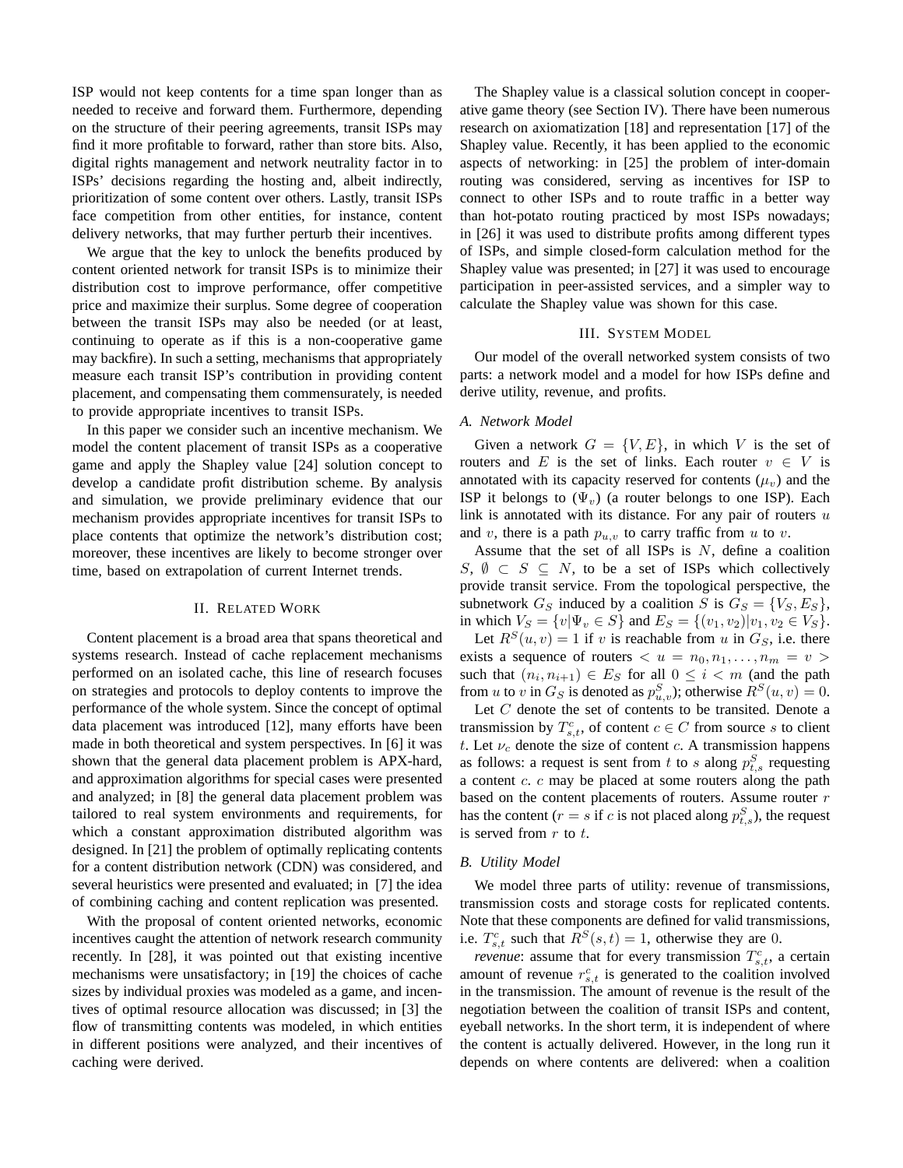ISP would not keep contents for a time span longer than as needed to receive and forward them. Furthermore, depending on the structure of their peering agreements, transit ISPs may find it more profitable to forward, rather than store bits. Also, digital rights management and network neutrality factor in to ISPs' decisions regarding the hosting and, albeit indirectly, prioritization of some content over others. Lastly, transit ISPs face competition from other entities, for instance, content delivery networks, that may further perturb their incentives.

We argue that the key to unlock the benefits produced by content oriented network for transit ISPs is to minimize their distribution cost to improve performance, offer competitive price and maximize their surplus. Some degree of cooperation between the transit ISPs may also be needed (or at least, continuing to operate as if this is a non-cooperative game may backfire). In such a setting, mechanisms that appropriately measure each transit ISP's contribution in providing content placement, and compensating them commensurately, is needed to provide appropriate incentives to transit ISPs.

In this paper we consider such an incentive mechanism. We model the content placement of transit ISPs as a cooperative game and apply the Shapley value [24] solution concept to develop a candidate profit distribution scheme. By analysis and simulation, we provide preliminary evidence that our mechanism provides appropriate incentives for transit ISPs to place contents that optimize the network's distribution cost; moreover, these incentives are likely to become stronger over time, based on extrapolation of current Internet trends.

## II. RELATED WORK

Content placement is a broad area that spans theoretical and systems research. Instead of cache replacement mechanisms performed on an isolated cache, this line of research focuses on strategies and protocols to deploy contents to improve the performance of the whole system. Since the concept of optimal data placement was introduced [12], many efforts have been made in both theoretical and system perspectives. In [6] it was shown that the general data placement problem is APX-hard, and approximation algorithms for special cases were presented and analyzed; in [8] the general data placement problem was tailored to real system environments and requirements, for which a constant approximation distributed algorithm was designed. In [21] the problem of optimally replicating contents for a content distribution network (CDN) was considered, and several heuristics were presented and evaluated; in [7] the idea of combining caching and content replication was presented.

With the proposal of content oriented networks, economic incentives caught the attention of network research community recently. In [28], it was pointed out that existing incentive mechanisms were unsatisfactory; in [19] the choices of cache sizes by individual proxies was modeled as a game, and incentives of optimal resource allocation was discussed; in [3] the flow of transmitting contents was modeled, in which entities in different positions were analyzed, and their incentives of caching were derived.

The Shapley value is a classical solution concept in cooperative game theory (see Section IV). There have been numerous research on axiomatization [18] and representation [17] of the Shapley value. Recently, it has been applied to the economic aspects of networking: in [25] the problem of inter-domain routing was considered, serving as incentives for ISP to connect to other ISPs and to route traffic in a better way than hot-potato routing practiced by most ISPs nowadays; in [26] it was used to distribute profits among different types of ISPs, and simple closed-form calculation method for the Shapley value was presented; in [27] it was used to encourage participation in peer-assisted services, and a simpler way to calculate the Shapley value was shown for this case.

## III. SYSTEM MODEL

Our model of the overall networked system consists of two parts: a network model and a model for how ISPs define and derive utility, revenue, and profits.

### *A. Network Model*

Given a network  $G = \{V, E\}$ , in which V is the set of routers and E is the set of links. Each router  $v \in V$  is annotated with its capacity reserved for contents  $(\mu_v)$  and the ISP it belongs to  $(\Psi_{v})$  (a router belongs to one ISP). Each link is annotated with its distance. For any pair of routers  $u$ and v, there is a path  $p_{u,v}$  to carry traffic from u to v.

Assume that the set of all ISPs is  $N$ , define a coalition  $S, \emptyset \subset S \subseteq N$ , to be a set of ISPs which collectively provide transit service. From the topological perspective, the subnetwork  $G_S$  induced by a coalition S is  $G_S = \{V_S, E_S\}$ , in which  $V_S = \{v | \Psi_v \in S\}$  and  $E_S = \{(v_1, v_2) | v_1, v_2 \in V_S\}.$ 

Let  $R^{S}(u, v) = 1$  if v is reachable from u in  $G_S$ , i.e. there exists a sequence of routers  $\langle u = n_0, n_1, \ldots, n_m = v \rangle$ such that  $(n_i, n_{i+1}) \in E_S$  for all  $0 \leq i < m$  (and the path from u to v in  $G_S$  is denoted as  $p_{u,v}^S$ ); otherwise  $R^S(u,v) = 0$ .

Let  $C$  denote the set of contents to be transited. Denote a transmission by  $T_{s,t}^c$ , of content  $c \in C$  from source s to client t. Let  $\nu_c$  denote the size of content c. A transmission happens as follows: a request is sent from t to s along  $p_{t,s}^S$  requesting a content c. c may be placed at some routers along the path based on the content placements of routers. Assume router  $r$ has the content ( $r = s$  if c is not placed along  $p_{t,s}^S$ ), the request is served from  $r$  to  $t$ .

#### *B. Utility Model*

We model three parts of utility: revenue of transmissions, transmission costs and storage costs for replicated contents. Note that these components are defined for valid transmissions, i.e.  $T_{s,t}^c$  such that  $R^S(s,t) = 1$ , otherwise they are 0.

*revenue*: assume that for every transmission  $T_{s,t}^c$ , a certain amount of revenue  $r_{s,t}^c$  is generated to the coalition involved in the transmission. The amount of revenue is the result of the negotiation between the coalition of transit ISPs and content, eyeball networks. In the short term, it is independent of where the content is actually delivered. However, in the long run it depends on where contents are delivered: when a coalition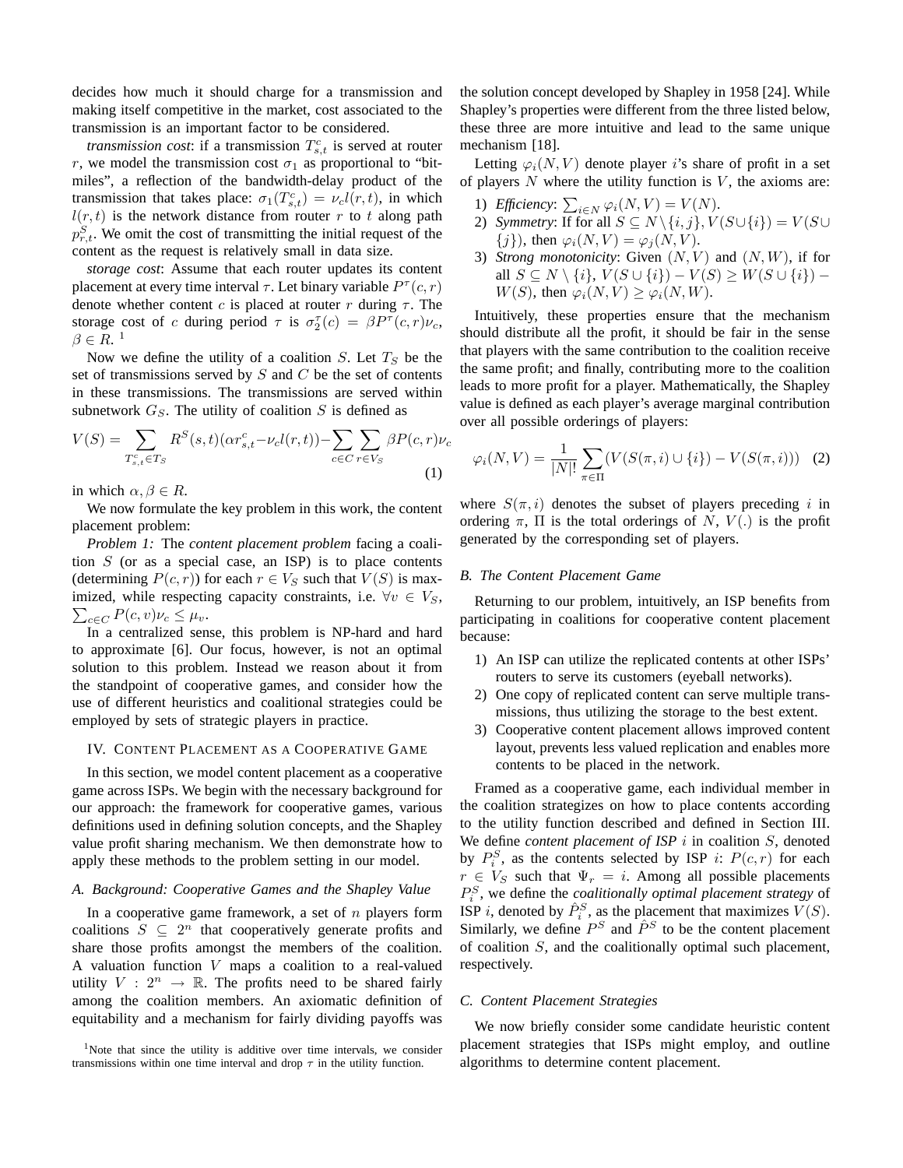decides how much it should charge for a transmission and making itself competitive in the market, cost associated to the transmission is an important factor to be considered.

*transmission cost*: if a transmission  $T_{s,t}^c$  is served at router r, we model the transmission cost  $\sigma_1$  as proportional to "bitmiles", a reflection of the bandwidth-delay product of the transmission that takes place:  $\sigma_1(T_{s,t}^c) = \nu_c l(r,t)$ , in which  $l(r, t)$  is the network distance from router r to t along path  $p_{r,t}^S$ . We omit the cost of transmitting the initial request of the content as the request is relatively small in data size.

*storage cost*: Assume that each router updates its content placement at every time interval  $\tau$ . Let binary variable  $P^{\tau}(c, r)$ denote whether content c is placed at router r during  $\tau$ . The storage cost of c during period  $\tau$  is  $\sigma_2^{\tau}(c) = \beta P^{\tau}(c,r)\nu_c$ ,  $\beta \in R$ .<sup>1</sup>

Now we define the utility of a coalition S. Let  $T<sub>S</sub>$  be the set of transmissions served by  $S$  and  $C$  be the set of contents in these transmissions. The transmissions are served within subnetwork  $G_S$ . The utility of coalition S is defined as

$$
V(S) = \sum_{T_{s,t}^c \in T_S} R^S(s,t) (\alpha r_{s,t}^c - \nu_c l(r,t)) - \sum_{c \in C} \sum_{r \in V_S} \beta P(c,r) \nu_c
$$
\n(1)

in which  $\alpha, \beta \in R$ .

We now formulate the key problem in this work, the content placement problem:

*Problem 1:* The *content placement problem* facing a coalition  $S$  (or as a special case, an ISP) is to place contents (determining  $P(c, r)$ ) for each  $r \in V_S$  such that  $V(S)$  is max- $\sum_{c \in C} P(c, v) \nu_c \leq \mu_v.$ imized, while respecting capacity constraints, i.e.  $\forall v \in V_S$ ,

In a centralized sense, this problem is NP-hard and hard to approximate [6]. Our focus, however, is not an optimal solution to this problem. Instead we reason about it from the standpoint of cooperative games, and consider how the use of different heuristics and coalitional strategies could be employed by sets of strategic players in practice.

#### IV. CONTENT PLACEMENT AS A COOPERATIVE GAME

In this section, we model content placement as a cooperative game across ISPs. We begin with the necessary background for our approach: the framework for cooperative games, various definitions used in defining solution concepts, and the Shapley value profit sharing mechanism. We then demonstrate how to apply these methods to the problem setting in our model.

## *A. Background: Cooperative Games and the Shapley Value*

In a cooperative game framework, a set of  $n$  players form coalitions  $S \subseteq 2^n$  that cooperatively generate profits and share those profits amongst the members of the coalition. A valuation function V maps a coalition to a real-valued utility  $V: 2^n \rightarrow \mathbb{R}$ . The profits need to be shared fairly among the coalition members. An axiomatic definition of equitability and a mechanism for fairly dividing payoffs was the solution concept developed by Shapley in 1958 [24]. While Shapley's properties were different from the three listed below, these three are more intuitive and lead to the same unique mechanism [18].

Letting  $\varphi_i(N, V)$  denote player is share of profit in a set of players  $N$  where the utility function is  $V$ , the axioms are:

- 1) *Efficiency*:  $\sum_{i \in N} \varphi_i(N, V) = V(N)$ .
- 2) *Symmetry:* If for all  $S \subseteq N \setminus \{i, j\}$ ,  $V(S \cup \{i\}) = V(S \cup$  ${j}$ , then  $\varphi_i(N, V) = \varphi_j(N, V)$ .
- 3) *Strong monotonicity:* Given  $(N, V)$  and  $(N, W)$ , if for all  $S \subseteq N \setminus \{i\}, V(S \cup \{i\}) - V(S) \geq W(S \cup \{i\}) W(S)$ , then  $\varphi_i(N, V) \geq \varphi_i(N, W)$ .

Intuitively, these properties ensure that the mechanism should distribute all the profit, it should be fair in the sense that players with the same contribution to the coalition receive the same profit; and finally, contributing more to the coalition leads to more profit for a player. Mathematically, the Shapley value is defined as each player's average marginal contribution over all possible orderings of players:

$$
\varphi_i(N, V) = \frac{1}{|N|!} \sum_{\pi \in \Pi} (V(S(\pi, i) \cup \{i\}) - V(S(\pi, i))) \quad (2)
$$

where  $S(\pi, i)$  denotes the subset of players preceding i in ordering  $\pi$ ,  $\Pi$  is the total orderings of N,  $V(.)$  is the profit generated by the corresponding set of players.

## *B. The Content Placement Game*

Returning to our problem, intuitively, an ISP benefits from participating in coalitions for cooperative content placement because:

- 1) An ISP can utilize the replicated contents at other ISPs' routers to serve its customers (eyeball networks).
- 2) One copy of replicated content can serve multiple transmissions, thus utilizing the storage to the best extent.
- 3) Cooperative content placement allows improved content layout, prevents less valued replication and enables more contents to be placed in the network.

Framed as a cooperative game, each individual member in the coalition strategizes on how to place contents according to the utility function described and defined in Section III. We define *content placement of ISP i* in coalition *S*, denoted by  $P_i^S$ , as the contents selected by ISP i:  $P(c, r)$  for each  $r \in V_S$  such that  $\Psi_r = i$ . Among all possible placements  $P_i^S$ , we define the *coalitionally optimal placement strategy* of ISP *i*, denoted by  $\hat{P}_i^S$ , as the placement that maximizes  $V(S)$ . Similarly, we define  $P^S$  and  $\hat{P}^S$  to be the content placement of coalition  $S$ , and the coalitionally optimal such placement, respectively.

#### *C. Content Placement Strategies*

We now briefly consider some candidate heuristic content placement strategies that ISPs might employ, and outline algorithms to determine content placement.

<sup>&</sup>lt;sup>1</sup>Note that since the utility is additive over time intervals, we consider transmissions within one time interval and drop  $\tau$  in the utility function.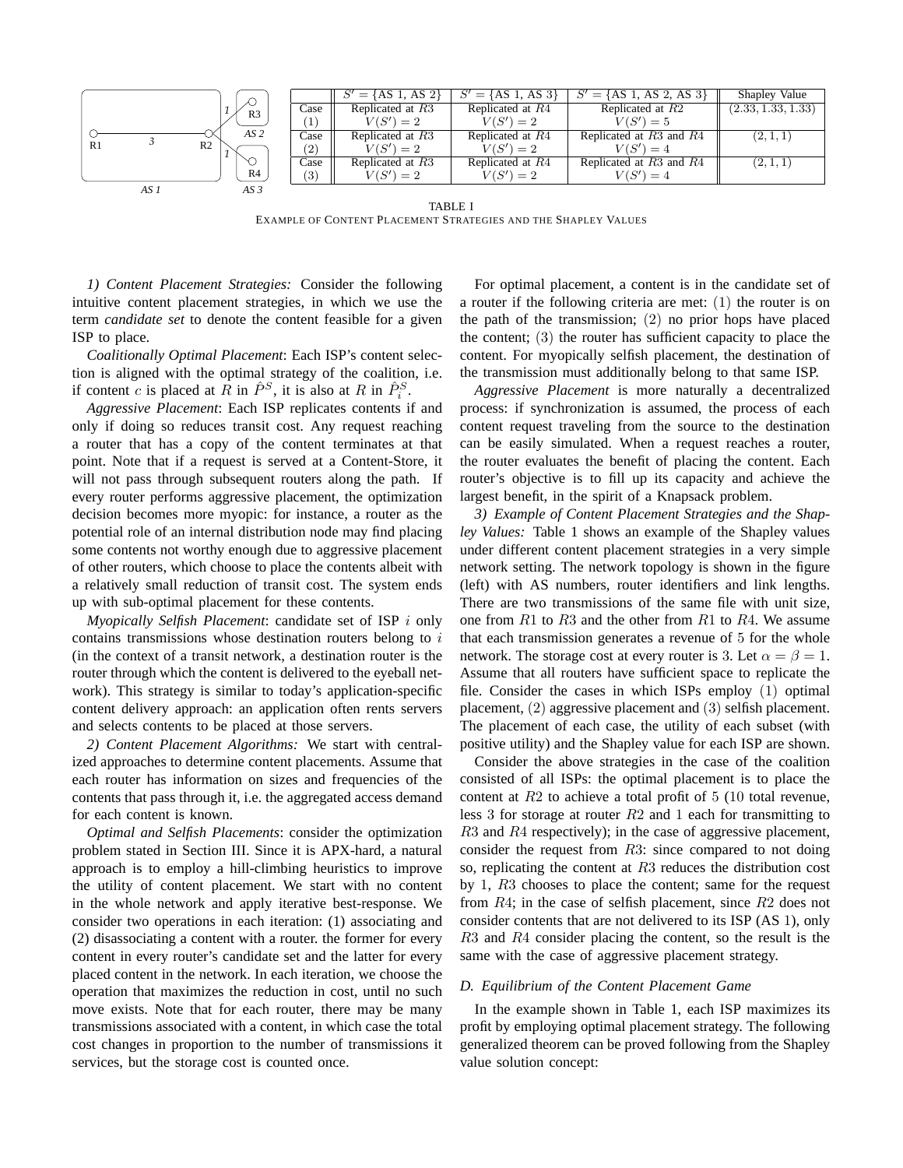

TABLE I EXAMPLE OF CONTENT PLACEMENT STRATEGIES AND THE SHAPLEY VALUES

*1) Content Placement Strategies:* Consider the following intuitive content placement strategies, in which we use the term *candidate set* to denote the content feasible for a given ISP to place.

*Coalitionally Optimal Placement*: Each ISP's content selection is aligned with the optimal strategy of the coalition, i.e. if content c is placed at R in  $\hat{P}^S$ , it is also at R in  $\hat{P}^S_i$ .

*Aggressive Placement*: Each ISP replicates contents if and only if doing so reduces transit cost. Any request reaching a router that has a copy of the content terminates at that point. Note that if a request is served at a Content-Store, it will not pass through subsequent routers along the path. If every router performs aggressive placement, the optimization decision becomes more myopic: for instance, a router as the potential role of an internal distribution node may find placing some contents not worthy enough due to aggressive placement of other routers, which choose to place the contents albeit with a relatively small reduction of transit cost. The system ends up with sub-optimal placement for these contents.

*Myopically Selfish Placement*: candidate set of ISP i only contains transmissions whose destination routers belong to  $i$ (in the context of a transit network, a destination router is the router through which the content is delivered to the eyeball network). This strategy is similar to today's application-specific content delivery approach: an application often rents servers and selects contents to be placed at those servers.

*2) Content Placement Algorithms:* We start with centralized approaches to determine content placements. Assume that each router has information on sizes and frequencies of the contents that pass through it, i.e. the aggregated access demand for each content is known.

*Optimal and Selfish Placements*: consider the optimization problem stated in Section III. Since it is APX-hard, a natural approach is to employ a hill-climbing heuristics to improve the utility of content placement. We start with no content in the whole network and apply iterative best-response. We consider two operations in each iteration: (1) associating and (2) disassociating a content with a router. the former for every content in every router's candidate set and the latter for every placed content in the network. In each iteration, we choose the operation that maximizes the reduction in cost, until no such move exists. Note that for each router, there may be many transmissions associated with a content, in which case the total cost changes in proportion to the number of transmissions it services, but the storage cost is counted once.

For optimal placement, a content is in the candidate set of a router if the following criteria are met: (1) the router is on the path of the transmission; (2) no prior hops have placed the content; (3) the router has sufficient capacity to place the content. For myopically selfish placement, the destination of the transmission must additionally belong to that same ISP.

*Aggressive Placement* is more naturally a decentralized process: if synchronization is assumed, the process of each content request traveling from the source to the destination can be easily simulated. When a request reaches a router, the router evaluates the benefit of placing the content. Each router's objective is to fill up its capacity and achieve the largest benefit, in the spirit of a Knapsack problem.

*3) Example of Content Placement Strategies and the Shapley Values:* Table 1 shows an example of the Shapley values under different content placement strategies in a very simple network setting. The network topology is shown in the figure (left) with AS numbers, router identifiers and link lengths. There are two transmissions of the same file with unit size, one from  $R1$  to  $R3$  and the other from  $R1$  to  $R4$ . We assume that each transmission generates a revenue of 5 for the whole network. The storage cost at every router is 3. Let  $\alpha = \beta = 1$ . Assume that all routers have sufficient space to replicate the file. Consider the cases in which ISPs employ (1) optimal placement, (2) aggressive placement and (3) selfish placement. The placement of each case, the utility of each subset (with positive utility) and the Shapley value for each ISP are shown.

Consider the above strategies in the case of the coalition consisted of all ISPs: the optimal placement is to place the content at  $R2$  to achieve a total profit of 5 (10 total revenue, less 3 for storage at router  $R2$  and 1 each for transmitting to R3 and R4 respectively); in the case of aggressive placement, consider the request from R3: since compared to not doing so, replicating the content at R3 reduces the distribution cost by 1, R3 chooses to place the content; same for the request from R4; in the case of selfish placement, since R2 does not consider contents that are not delivered to its ISP (AS 1), only R3 and R4 consider placing the content, so the result is the same with the case of aggressive placement strategy.

#### *D. Equilibrium of the Content Placement Game*

In the example shown in Table 1, each ISP maximizes its profit by employing optimal placement strategy. The following generalized theorem can be proved following from the Shapley value solution concept: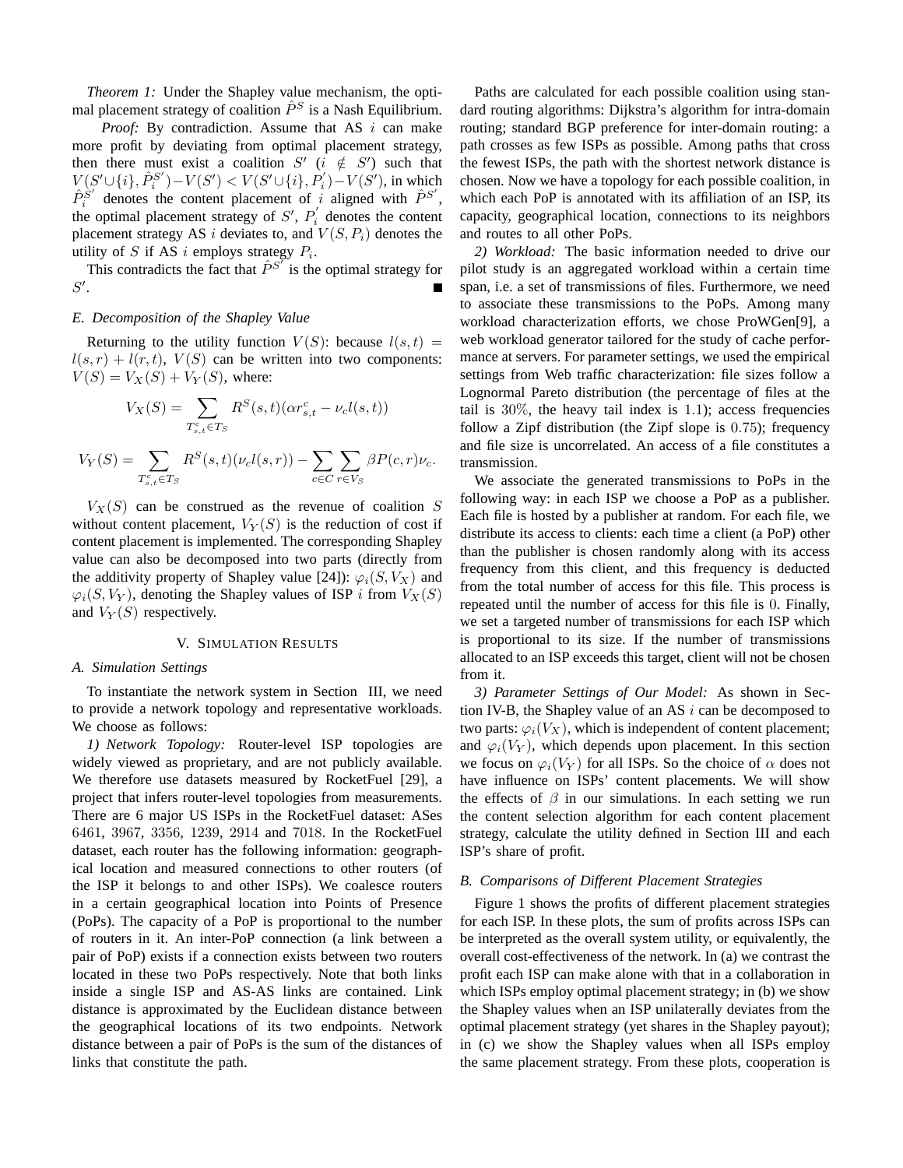*Theorem 1:* Under the Shapley value mechanism, the optimal placement strategy of coalition  $\hat{P}^S$  is a Nash Equilibrium.

*Proof:* By contradiction. Assume that AS i can make more profit by deviating from optimal placement strategy, then there must exist a coalition  $S'$  ( $i \notin S'$ ) such that  $V(S' \cup \{i\}, \hat{P}_{i}^{S'}$  $S_i^{(S')}$  −  $V(S')$  <  $V(S' \cup \{i\}, P'_i)$  −  $V(S')$ , in which  $\hat{P}_{i}^{\grave{S}^{\prime}}$  $\hat{p}^{S'}$  denotes the content placement of i aligned with  $\hat{P}^{S'}$ , the optimal placement strategy of  $S'$ ,  $P'_i$  $\mathbf{e}_i$  denotes the content placement strategy AS i deviates to, and  $V(S, P_i)$  denotes the utility of S if AS i employs strategy  $P_i$ .

This contradicts the fact that  $\hat{P}^{S'}$  is the optimal strategy for  $S'.$ 

## *E. Decomposition of the Shapley Value*

Returning to the utility function  $V(S)$ : because  $l(s,t)$  =  $l(s,r) + l(r,t)$ ,  $V(S)$  can be written into two components:  $V(S) = V_X(S) + V_Y(S)$ , where:

$$
V_X(S) = \sum_{T_{s,t}^c \in T_S} R^S(s,t)(\alpha r_{s,t}^c - \nu_c l(s,t))
$$
  

$$
V_Y(S) = \sum_{T_{s,t}^c \in T_S} R^S(s,t)(\nu_c l(s,r)) - \sum_{c \in C} \sum_{r \in V_S} \beta P(c,r) \nu_c.
$$

 $V_X(S)$  can be construed as the revenue of coalition S without content placement,  $V_Y(S)$  is the reduction of cost if content placement is implemented. The corresponding Shapley value can also be decomposed into two parts (directly from the additivity property of Shapley value [24]):  $\varphi_i(S, V_X)$  and  $\varphi_i(S, V_Y)$ , denoting the Shapley values of ISP i from  $V_X(S)$ and  $V_Y(S)$  respectively.

#### V. SIMULATION RESULTS

#### *A. Simulation Settings*

To instantiate the network system in Section III, we need to provide a network topology and representative workloads. We choose as follows:

*1) Network Topology:* Router-level ISP topologies are widely viewed as proprietary, and are not publicly available. We therefore use datasets measured by RocketFuel [29], a project that infers router-level topologies from measurements. There are 6 major US ISPs in the RocketFuel dataset: ASes 6461, 3967, 3356, 1239, 2914 and 7018. In the RocketFuel dataset, each router has the following information: geographical location and measured connections to other routers (of the ISP it belongs to and other ISPs). We coalesce routers in a certain geographical location into Points of Presence (PoPs). The capacity of a PoP is proportional to the number of routers in it. An inter-PoP connection (a link between a pair of PoP) exists if a connection exists between two routers located in these two PoPs respectively. Note that both links inside a single ISP and AS-AS links are contained. Link distance is approximated by the Euclidean distance between the geographical locations of its two endpoints. Network distance between a pair of PoPs is the sum of the distances of links that constitute the path.

Paths are calculated for each possible coalition using standard routing algorithms: Dijkstra's algorithm for intra-domain routing; standard BGP preference for inter-domain routing: a path crosses as few ISPs as possible. Among paths that cross the fewest ISPs, the path with the shortest network distance is chosen. Now we have a topology for each possible coalition, in which each PoP is annotated with its affiliation of an ISP, its capacity, geographical location, connections to its neighbors and routes to all other PoPs.

*2) Workload:* The basic information needed to drive our pilot study is an aggregated workload within a certain time span, i.e. a set of transmissions of files. Furthermore, we need to associate these transmissions to the PoPs. Among many workload characterization efforts, we chose ProWGen[9], a web workload generator tailored for the study of cache performance at servers. For parameter settings, we used the empirical settings from Web traffic characterization: file sizes follow a Lognormal Pareto distribution (the percentage of files at the tail is 30%, the heavy tail index is 1.1); access frequencies follow a Zipf distribution (the Zipf slope is 0.75); frequency and file size is uncorrelated. An access of a file constitutes a transmission.

We associate the generated transmissions to PoPs in the following way: in each ISP we choose a PoP as a publisher. Each file is hosted by a publisher at random. For each file, we distribute its access to clients: each time a client (a PoP) other than the publisher is chosen randomly along with its access frequency from this client, and this frequency is deducted from the total number of access for this file. This process is repeated until the number of access for this file is 0. Finally, we set a targeted number of transmissions for each ISP which is proportional to its size. If the number of transmissions allocated to an ISP exceeds this target, client will not be chosen from it.

*3) Parameter Settings of Our Model:* As shown in Section IV-B, the Shapley value of an AS  $i$  can be decomposed to two parts:  $\varphi_i(V_X)$ , which is independent of content placement; and  $\varphi_i(V_Y)$ , which depends upon placement. In this section we focus on  $\varphi_i(V_Y)$  for all ISPs. So the choice of  $\alpha$  does not have influence on ISPs' content placements. We will show the effects of  $\beta$  in our simulations. In each setting we run the content selection algorithm for each content placement strategy, calculate the utility defined in Section III and each ISP's share of profit.

## *B. Comparisons of Different Placement Strategies*

Figure 1 shows the profits of different placement strategies for each ISP. In these plots, the sum of profits across ISPs can be interpreted as the overall system utility, or equivalently, the overall cost-effectiveness of the network. In (a) we contrast the profit each ISP can make alone with that in a collaboration in which ISPs employ optimal placement strategy; in (b) we show the Shapley values when an ISP unilaterally deviates from the optimal placement strategy (yet shares in the Shapley payout); in (c) we show the Shapley values when all ISPs employ the same placement strategy. From these plots, cooperation is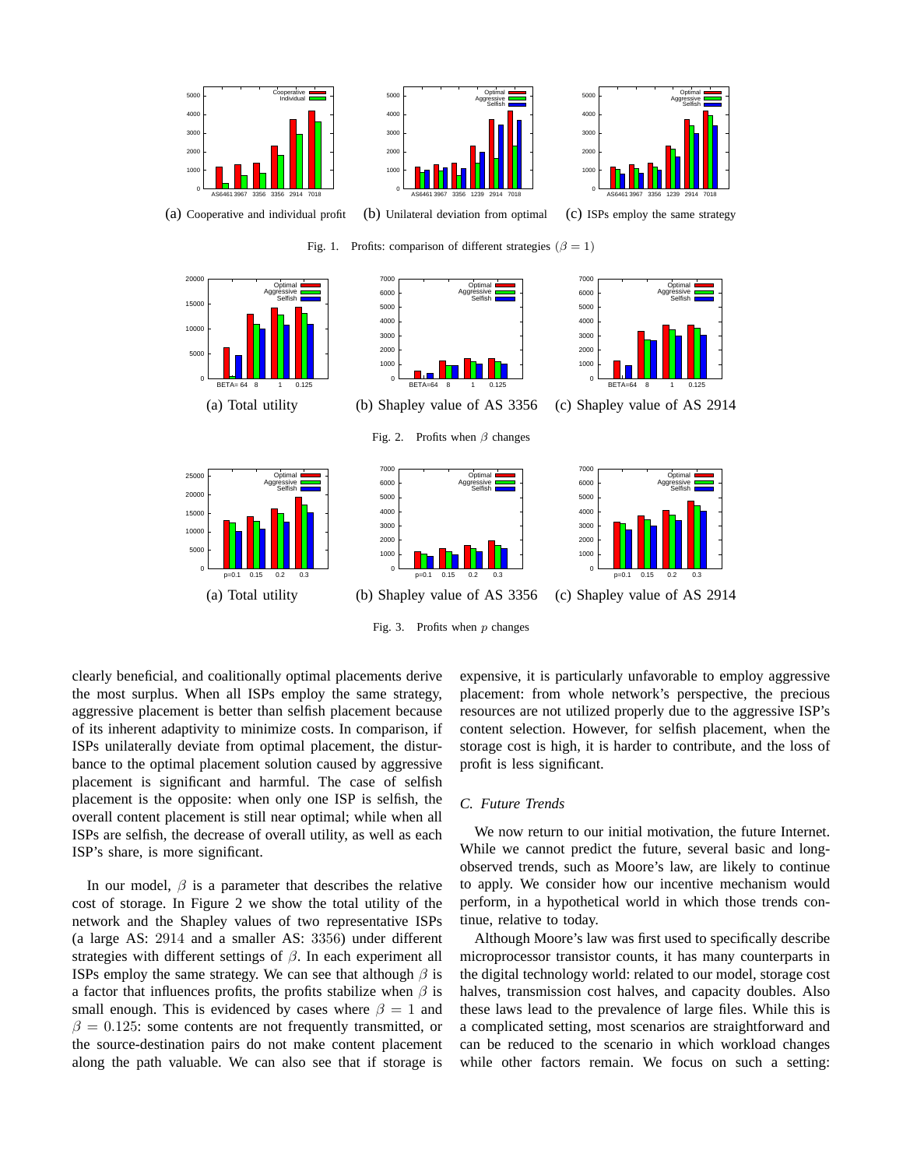

Fig. 3. Profits when  $p$  changes

clearly beneficial, and coalitionally optimal placements derive the most surplus. When all ISPs employ the same strategy, aggressive placement is better than selfish placement because of its inherent adaptivity to minimize costs. In comparison, if ISPs unilaterally deviate from optimal placement, the disturbance to the optimal placement solution caused by aggressive placement is significant and harmful. The case of selfish placement is the opposite: when only one ISP is selfish, the overall content placement is still near optimal; while when all ISPs are selfish, the decrease of overall utility, as well as each ISP's share, is more significant.

In our model,  $\beta$  is a parameter that describes the relative cost of storage. In Figure 2 we show the total utility of the network and the Shapley values of two representative ISPs (a large AS: 2914 and a smaller AS: 3356) under different strategies with different settings of  $\beta$ . In each experiment all ISPs employ the same strategy. We can see that although  $\beta$  is a factor that influences profits, the profits stabilize when  $\beta$  is small enough. This is evidenced by cases where  $\beta = 1$  and  $\beta = 0.125$ : some contents are not frequently transmitted, or the source-destination pairs do not make content placement along the path valuable. We can also see that if storage is

expensive, it is particularly unfavorable to employ aggressive placement: from whole network's perspective, the precious resources are not utilized properly due to the aggressive ISP's content selection. However, for selfish placement, when the storage cost is high, it is harder to contribute, and the loss of profit is less significant.

## *C. Future Trends*

We now return to our initial motivation, the future Internet. While we cannot predict the future, several basic and longobserved trends, such as Moore's law, are likely to continue to apply. We consider how our incentive mechanism would perform, in a hypothetical world in which those trends continue, relative to today.

Although Moore's law was first used to specifically describe microprocessor transistor counts, it has many counterparts in the digital technology world: related to our model, storage cost halves, transmission cost halves, and capacity doubles. Also these laws lead to the prevalence of large files. While this is a complicated setting, most scenarios are straightforward and can be reduced to the scenario in which workload changes while other factors remain. We focus on such a setting: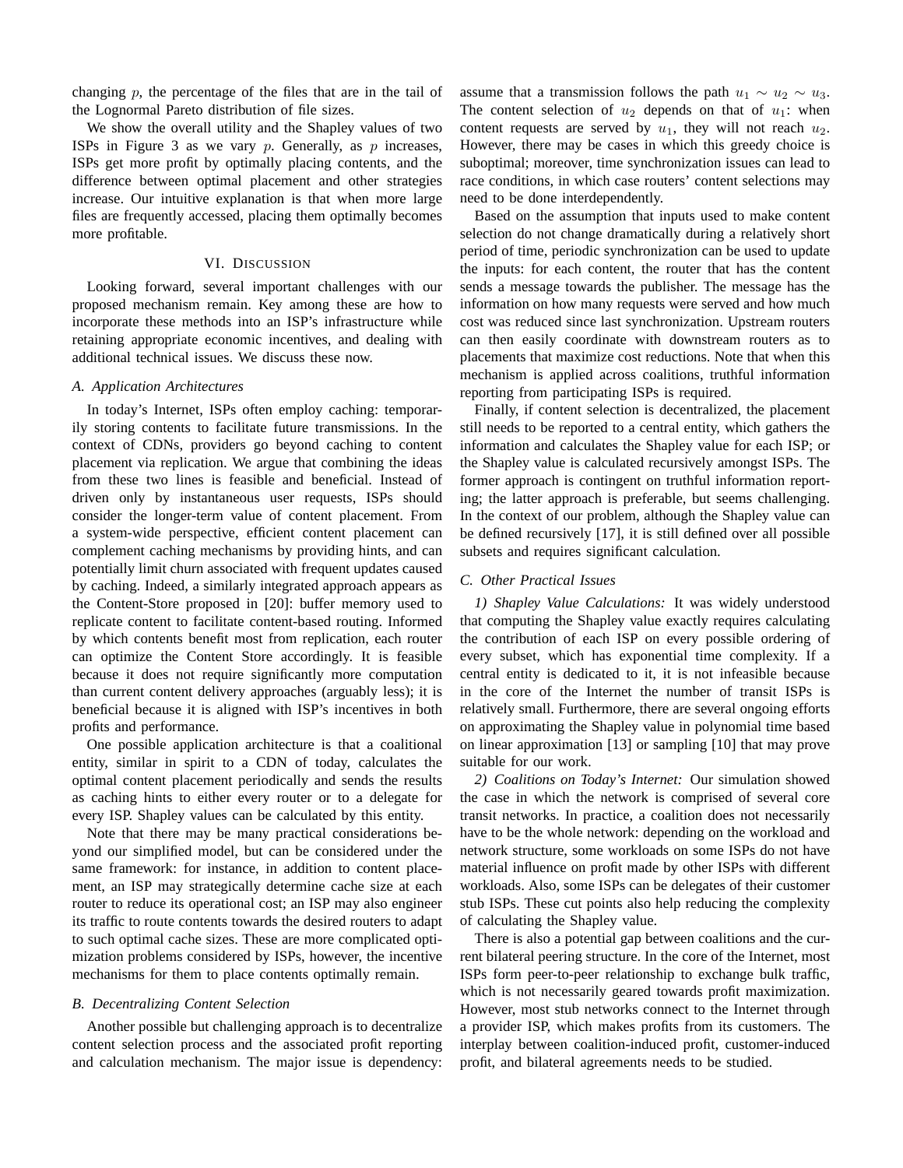changing p, the percentage of the files that are in the tail of the Lognormal Pareto distribution of file sizes.

We show the overall utility and the Shapley values of two ISPs in Figure 3 as we vary  $p$ . Generally, as  $p$  increases, ISPs get more profit by optimally placing contents, and the difference between optimal placement and other strategies increase. Our intuitive explanation is that when more large files are frequently accessed, placing them optimally becomes more profitable.

## VI. DISCUSSION

Looking forward, several important challenges with our proposed mechanism remain. Key among these are how to incorporate these methods into an ISP's infrastructure while retaining appropriate economic incentives, and dealing with additional technical issues. We discuss these now.

## *A. Application Architectures*

In today's Internet, ISPs often employ caching: temporarily storing contents to facilitate future transmissions. In the context of CDNs, providers go beyond caching to content placement via replication. We argue that combining the ideas from these two lines is feasible and beneficial. Instead of driven only by instantaneous user requests, ISPs should consider the longer-term value of content placement. From a system-wide perspective, efficient content placement can complement caching mechanisms by providing hints, and can potentially limit churn associated with frequent updates caused by caching. Indeed, a similarly integrated approach appears as the Content-Store proposed in [20]: buffer memory used to replicate content to facilitate content-based routing. Informed by which contents benefit most from replication, each router can optimize the Content Store accordingly. It is feasible because it does not require significantly more computation than current content delivery approaches (arguably less); it is beneficial because it is aligned with ISP's incentives in both profits and performance.

One possible application architecture is that a coalitional entity, similar in spirit to a CDN of today, calculates the optimal content placement periodically and sends the results as caching hints to either every router or to a delegate for every ISP. Shapley values can be calculated by this entity.

Note that there may be many practical considerations beyond our simplified model, but can be considered under the same framework: for instance, in addition to content placement, an ISP may strategically determine cache size at each router to reduce its operational cost; an ISP may also engineer its traffic to route contents towards the desired routers to adapt to such optimal cache sizes. These are more complicated optimization problems considered by ISPs, however, the incentive mechanisms for them to place contents optimally remain.

### *B. Decentralizing Content Selection*

Another possible but challenging approach is to decentralize content selection process and the associated profit reporting and calculation mechanism. The major issue is dependency: assume that a transmission follows the path  $u_1 \sim u_2 \sim u_3$ . The content selection of  $u_2$  depends on that of  $u_1$ : when content requests are served by  $u_1$ , they will not reach  $u_2$ . However, there may be cases in which this greedy choice is suboptimal; moreover, time synchronization issues can lead to race conditions, in which case routers' content selections may need to be done interdependently.

Based on the assumption that inputs used to make content selection do not change dramatically during a relatively short period of time, periodic synchronization can be used to update the inputs: for each content, the router that has the content sends a message towards the publisher. The message has the information on how many requests were served and how much cost was reduced since last synchronization. Upstream routers can then easily coordinate with downstream routers as to placements that maximize cost reductions. Note that when this mechanism is applied across coalitions, truthful information reporting from participating ISPs is required.

Finally, if content selection is decentralized, the placement still needs to be reported to a central entity, which gathers the information and calculates the Shapley value for each ISP; or the Shapley value is calculated recursively amongst ISPs. The former approach is contingent on truthful information reporting; the latter approach is preferable, but seems challenging. In the context of our problem, although the Shapley value can be defined recursively [17], it is still defined over all possible subsets and requires significant calculation.

## *C. Other Practical Issues*

*1) Shapley Value Calculations:* It was widely understood that computing the Shapley value exactly requires calculating the contribution of each ISP on every possible ordering of every subset, which has exponential time complexity. If a central entity is dedicated to it, it is not infeasible because in the core of the Internet the number of transit ISPs is relatively small. Furthermore, there are several ongoing efforts on approximating the Shapley value in polynomial time based on linear approximation [13] or sampling [10] that may prove suitable for our work.

*2) Coalitions on Today's Internet:* Our simulation showed the case in which the network is comprised of several core transit networks. In practice, a coalition does not necessarily have to be the whole network: depending on the workload and network structure, some workloads on some ISPs do not have material influence on profit made by other ISPs with different workloads. Also, some ISPs can be delegates of their customer stub ISPs. These cut points also help reducing the complexity of calculating the Shapley value.

There is also a potential gap between coalitions and the current bilateral peering structure. In the core of the Internet, most ISPs form peer-to-peer relationship to exchange bulk traffic, which is not necessarily geared towards profit maximization. However, most stub networks connect to the Internet through a provider ISP, which makes profits from its customers. The interplay between coalition-induced profit, customer-induced profit, and bilateral agreements needs to be studied.